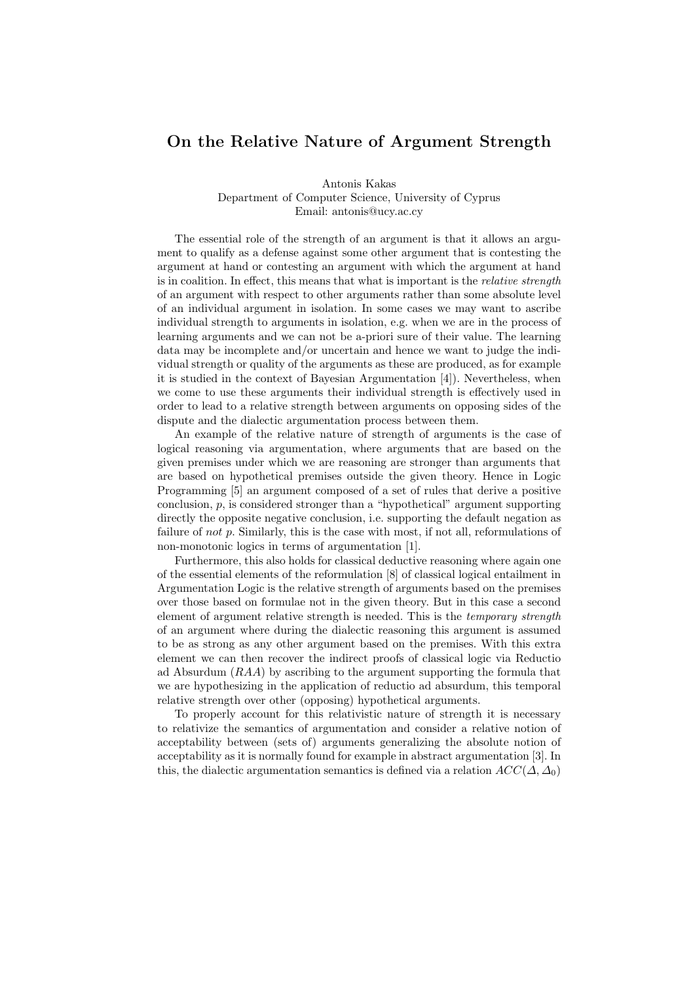## On the Relative Nature of Argument Strength

Antonis Kakas Department of Computer Science, University of Cyprus Email: antonis@ucy.ac.cy

The essential role of the strength of an argument is that it allows an argument to qualify as a defense against some other argument that is contesting the argument at hand or contesting an argument with which the argument at hand is in coalition. In effect, this means that what is important is the *relative strength* of an argument with respect to other arguments rather than some absolute level of an individual argument in isolation. In some cases we may want to ascribe individual strength to arguments in isolation, e.g. when we are in the process of learning arguments and we can not be a-priori sure of their value. The learning data may be incomplete and/or uncertain and hence we want to judge the individual strength or quality of the arguments as these are produced, as for example it is studied in the context of Bayesian Argumentation [4]). Nevertheless, when we come to use these arguments their individual strength is effectively used in order to lead to a relative strength between arguments on opposing sides of the dispute and the dialectic argumentation process between them.

An example of the relative nature of strength of arguments is the case of logical reasoning via argumentation, where arguments that are based on the given premises under which we are reasoning are stronger than arguments that are based on hypothetical premises outside the given theory. Hence in Logic Programming [5] an argument composed of a set of rules that derive a positive conclusion, p, is considered stronger than a "hypothetical" argument supporting directly the opposite negative conclusion, i.e. supporting the default negation as failure of not p. Similarly, this is the case with most, if not all, reformulations of non-monotonic logics in terms of argumentation [1].

Furthermore, this also holds for classical deductive reasoning where again one of the essential elements of the reformulation [8] of classical logical entailment in Argumentation Logic is the relative strength of arguments based on the premises over those based on formulae not in the given theory. But in this case a second element of argument relative strength is needed. This is the temporary strength of an argument where during the dialectic reasoning this argument is assumed to be as strong as any other argument based on the premises. With this extra element we can then recover the indirect proofs of classical logic via Reductio ad Absurdum  $(RAA)$  by ascribing to the argument supporting the formula that we are hypothesizing in the application of reductio ad absurdum, this temporal relative strength over other (opposing) hypothetical arguments.

To properly account for this relativistic nature of strength it is necessary to relativize the semantics of argumentation and consider a relative notion of acceptability between (sets of) arguments generalizing the absolute notion of acceptability as it is normally found for example in abstract argumentation [3]. In this, the dialectic argumentation semantics is defined via a relation  $ACC(\Delta, \Delta_0)$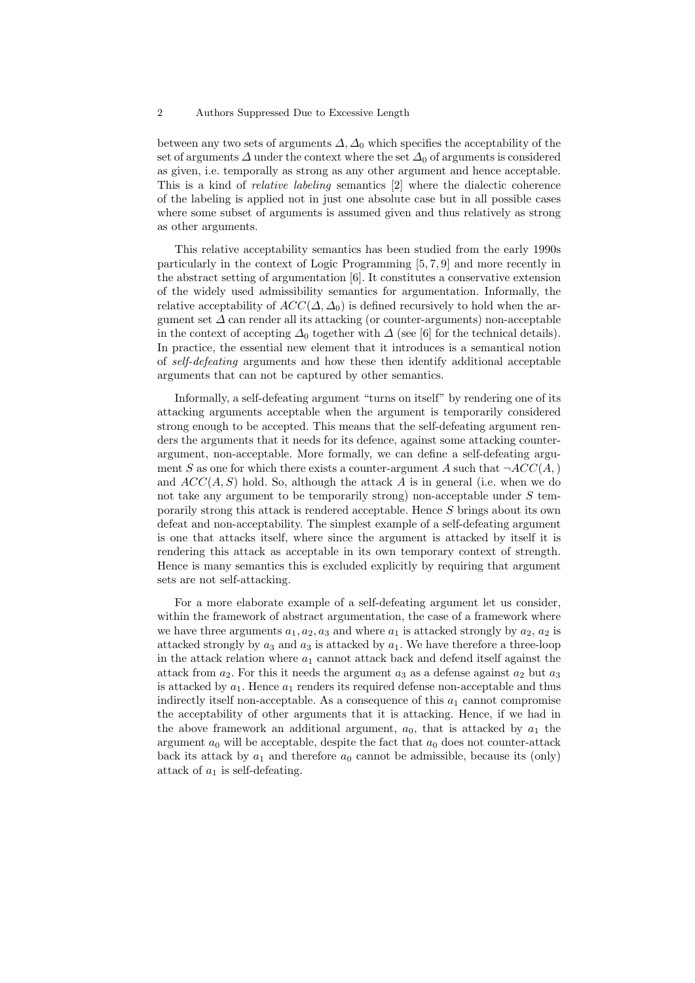## 2 Authors Suppressed Due to Excessive Length

between any two sets of arguments  $\Delta$ ,  $\Delta_0$  which specifies the acceptability of the set of arguments  $\Delta$  under the context where the set  $\Delta_0$  of arguments is considered as given, i.e. temporally as strong as any other argument and hence acceptable. This is a kind of relative labeling semantics [2] where the dialectic coherence of the labeling is applied not in just one absolute case but in all possible cases where some subset of arguments is assumed given and thus relatively as strong as other arguments.

This relative acceptability semantics has been studied from the early 1990s particularly in the context of Logic Programming [5, 7, 9] and more recently in the abstract setting of argumentation [6]. It constitutes a conservative extension of the widely used admissibility semantics for argumentation. Informally, the relative acceptability of  $ACC(\Delta, \Delta_0)$  is defined recursively to hold when the argument set  $\Delta$  can render all its attacking (or counter-arguments) non-acceptable in the context of accepting  $\Delta_0$  together with  $\Delta$  (see [6] for the technical details). In practice, the essential new element that it introduces is a semantical notion of self-defeating arguments and how these then identify additional acceptable arguments that can not be captured by other semantics.

Informally, a self-defeating argument "turns on itself" by rendering one of its attacking arguments acceptable when the argument is temporarily considered strong enough to be accepted. This means that the self-defeating argument renders the arguments that it needs for its defence, against some attacking counterargument, non-acceptable. More formally, we can define a self-defeating argument S as one for which there exists a counter-argument A such that  $\neg ACC(A, )$ and  $ACC(A, S)$  hold. So, although the attack A is in general (i.e. when we do not take any argument to be temporarily strong) non-acceptable under  $S$  temporarily strong this attack is rendered acceptable. Hence S brings about its own defeat and non-acceptability. The simplest example of a self-defeating argument is one that attacks itself, where since the argument is attacked by itself it is rendering this attack as acceptable in its own temporary context of strength. Hence is many semantics this is excluded explicitly by requiring that argument sets are not self-attacking.

For a more elaborate example of a self-defeating argument let us consider, within the framework of abstract argumentation, the case of a framework where we have three arguments  $a_1, a_2, a_3$  and where  $a_1$  is attacked strongly by  $a_2, a_2$  is attacked strongly by  $a_3$  and  $a_3$  is attacked by  $a_1$ . We have therefore a three-loop in the attack relation where  $a_1$  cannot attack back and defend itself against the attack from  $a_2$ . For this it needs the argument  $a_3$  as a defense against  $a_2$  but  $a_3$ is attacked by  $a_1$ . Hence  $a_1$  renders its required defense non-acceptable and thus indirectly itself non-acceptable. As a consequence of this  $a_1$  cannot compromise the acceptability of other arguments that it is attacking. Hence, if we had in the above framework an additional argument,  $a_0$ , that is attacked by  $a_1$  the argument  $a_0$  will be acceptable, despite the fact that  $a_0$  does not counter-attack back its attack by  $a_1$  and therefore  $a_0$  cannot be admissible, because its (only) attack of  $a_1$  is self-defeating.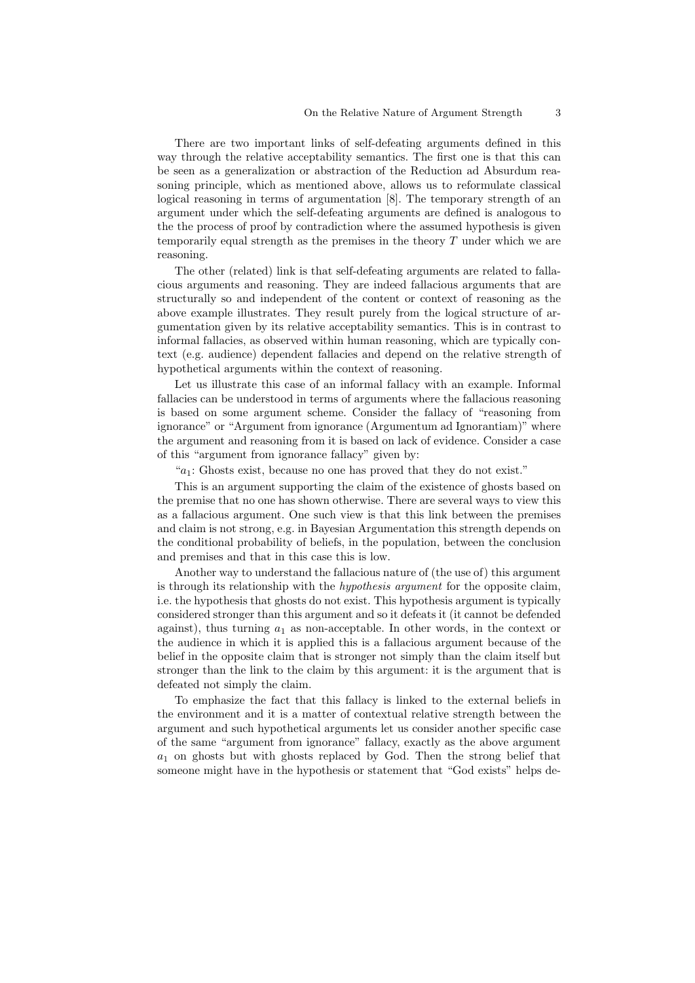There are two important links of self-defeating arguments defined in this way through the relative acceptability semantics. The first one is that this can be seen as a generalization or abstraction of the Reduction ad Absurdum reasoning principle, which as mentioned above, allows us to reformulate classical logical reasoning in terms of argumentation [8]. The temporary strength of an argument under which the self-defeating arguments are defined is analogous to the the process of proof by contradiction where the assumed hypothesis is given temporarily equal strength as the premises in the theory T under which we are reasoning.

The other (related) link is that self-defeating arguments are related to fallacious arguments and reasoning. They are indeed fallacious arguments that are structurally so and independent of the content or context of reasoning as the above example illustrates. They result purely from the logical structure of argumentation given by its relative acceptability semantics. This is in contrast to informal fallacies, as observed within human reasoning, which are typically context (e.g. audience) dependent fallacies and depend on the relative strength of hypothetical arguments within the context of reasoning.

Let us illustrate this case of an informal fallacy with an example. Informal fallacies can be understood in terms of arguments where the fallacious reasoning is based on some argument scheme. Consider the fallacy of "reasoning from ignorance" or "Argument from ignorance (Argumentum ad Ignorantiam)" where the argument and reasoning from it is based on lack of evidence. Consider a case of this "argument from ignorance fallacy" given by:

" $a_1$ : Ghosts exist, because no one has proved that they do not exist."

This is an argument supporting the claim of the existence of ghosts based on the premise that no one has shown otherwise. There are several ways to view this as a fallacious argument. One such view is that this link between the premises and claim is not strong, e.g. in Bayesian Argumentation this strength depends on the conditional probability of beliefs, in the population, between the conclusion and premises and that in this case this is low.

Another way to understand the fallacious nature of (the use of) this argument is through its relationship with the *hypothesis argument* for the opposite claim, i.e. the hypothesis that ghosts do not exist. This hypothesis argument is typically considered stronger than this argument and so it defeats it (it cannot be defended against), thus turning  $a_1$  as non-acceptable. In other words, in the context or the audience in which it is applied this is a fallacious argument because of the belief in the opposite claim that is stronger not simply than the claim itself but stronger than the link to the claim by this argument: it is the argument that is defeated not simply the claim.

To emphasize the fact that this fallacy is linked to the external beliefs in the environment and it is a matter of contextual relative strength between the argument and such hypothetical arguments let us consider another specific case of the same "argument from ignorance" fallacy, exactly as the above argument  $a_1$  on ghosts but with ghosts replaced by God. Then the strong belief that someone might have in the hypothesis or statement that "God exists" helps de-